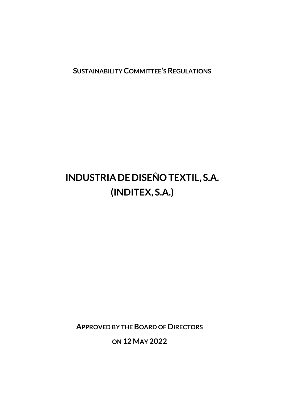**SUSTAINABILITY COMMITTEE'S REGULATIONS**

# **INDUSTRIADE DISEÑO TEXTIL, S.A. (INDITEX, S.A.)**

**APPROVED BY THE BOARD OF DIRECTORS**

**ON 12 MAY 2022**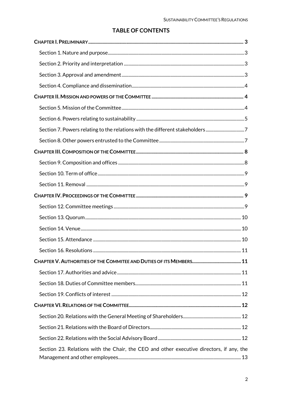# **TABLE OF CONTENTS**

| Section 7. Powers relating to the relations with the different stakeholders7             |    |
|------------------------------------------------------------------------------------------|----|
|                                                                                          |    |
|                                                                                          |    |
|                                                                                          |    |
|                                                                                          |    |
|                                                                                          |    |
|                                                                                          |    |
|                                                                                          |    |
|                                                                                          |    |
|                                                                                          |    |
|                                                                                          |    |
|                                                                                          | 11 |
|                                                                                          |    |
|                                                                                          |    |
|                                                                                          |    |
|                                                                                          |    |
|                                                                                          |    |
|                                                                                          |    |
|                                                                                          |    |
|                                                                                          |    |
| Section 23. Relations with the Chair, the CEO and other executive directors, if any, the |    |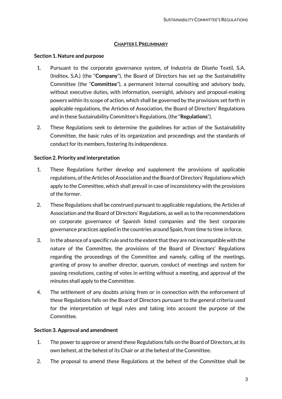#### **CHAPTER I.PRELIMINARY**

#### <span id="page-2-1"></span><span id="page-2-0"></span>**Section 1. Nature and purpose**

- 1. Pursuant to the corporate governance system, of Industria de Diseño Textil, S.A. (Inditex, S.A.) (the "**Company**"), the Board of Directors has set up the Sustainability Committee (the "**Committee**"), a permanent internal consulting and advisory body, without executive duties, with information, oversight, advisory and proposal-making powers within its scope of action, which shall be governed by the provisions set forth in applicable regulations, the Articles of Association, the Board of Directors' Regulations and in these Sustainability Committee's Regulations, (the "**Regulations**").
- 2. These Regulations seek to determine the guidelines for action of the Sustainability Committee, the basic rules of its organization and proceedings and the standards of conduct for its members, fostering its independence.

### <span id="page-2-2"></span>**Section 2. Priority and interpretation**

- 1. These Regulations further develop and supplement the provisions of applicable regulations, of the Articles of Association and the Board of Directors' Regulations which apply to the Committee, which shall prevail in case of inconsistency with the provisions of the former.
- 2. These Regulations shall be construed pursuant to applicable regulations, the Articles of Association and the Board of Directors' Regulations, as well as to the recommendations on corporate governance of Spanish listed companies and the best corporate governance practices applied in the countries around Spain, from time to time in force.
- 3. In the absence of a specific rule and to the extent that they are not incompatible with the nature of the Committee, the provisions of the Board of Directors' Regulations regarding the proceedings of the Committee and namely, calling of the meetings, granting of proxy to another director, quorum, conduct of meetings and system for passing resolutions, casting of votes in writing without a meeting, and approval of the minutes shall apply to the Committee.
- 4. The settlement of any doubts arising from or in connection with the enforcement of these Regulations falls on the Board of Directors pursuant to the general criteria used for the interpretation of legal rules and taking into account the purpose of the Committee.

### <span id="page-2-3"></span>**Section 3. Approval and amendment**

- 1. The power to approve or amend these Regulations falls on the Board of Directors, at its own behest, at the behest of its Chair or at the behest of the Committee.
- 2. The proposal to amend these Regulations at the behest of the Committee shall be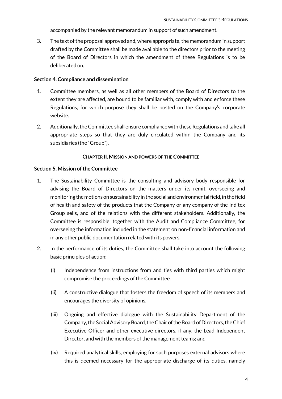accompanied by the relevant memorandum in support of such amendment.

3. The text of the proposal approved and, where appropriate, the memorandum in support drafted by the Committee shall be made available to the directors prior to the meeting of the Board of Directors in which the amendment of these Regulations is to be deliberated on.

#### <span id="page-3-0"></span>**Section 4. Compliance and dissemination**

- 1. Committee members, as well as all other members of the Board of Directors to the extent they are affected, are bound to be familiar with, comply with and enforce these Regulations, for which purpose they shall be posted on the Company's corporate website.
- 2. Additionally, the Committee shall ensure compliance with these Regulations and take all appropriate steps so that they are duly circulated within the Company and its subsidiaries (the "Group").

#### **CHAPTER II.MISSION AND POWERS OF THE COMMITTEE**

#### <span id="page-3-2"></span><span id="page-3-1"></span>**Section 5. Mission of the Committee**

- 1. The Sustainability Committee is the consulting and advisory body responsible for advising the Board of Directors on the matters under its remit, overseeing and monitoring the motions on sustainability in the social and environmental field, in the field of health and safety of the products that the Company or any company of the Inditex Group sells, and of the relations with the different stakeholders. Additionally, the Committee is responsible, together with the Audit and Compliance Committee, for overseeing the information included in the statement on non-financial information and in any other public documentation related with its powers.
- 2. In the performance of its duties, the Committee shall take into account the following basic principles of action:
	- (i) Independence from instructions from and ties with third parties which might compromise the proceedings of the Committee.
	- (ii) A constructive dialogue that fosters the freedom of speech of its members and encourages the diversity of opinions.
	- (iii) Ongoing and effective dialogue with the Sustainability Department of the Company, the Social Advisory Board, the Chair of the Board of Directors, the Chief Executive Officer and other executive directors, if any, the Lead Independent Director, and with the members of the management teams; and
	- (iv) Required analytical skills, employing for such purposes external advisors where this is deemed necessary for the appropriate discharge of its duties, namely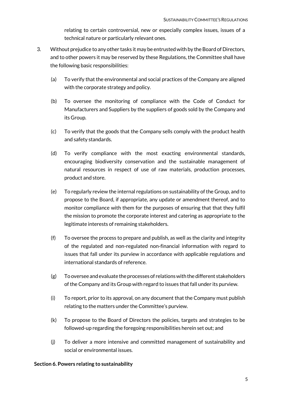relating to certain controversial, new or especially complex issues, issues of a technical nature or particularly relevant ones.

- 3. Without prejudice to any other tasks it may be entrusted with by the Board of Directors, and to other powers it may be reserved by these Regulations, the Committee shall have the following basic responsibilities:
	- (a) To verify that the environmental and social practices of the Company are aligned with the corporate strategy and policy.
	- (b) To oversee the monitoring of compliance with the Code of Conduct for Manufacturers and Suppliers by the suppliers of goods sold by the Company and its Group.
	- (c) To verify that the goods that the Company sells comply with the product health and safety standards.
	- (d) To verify compliance with the most exacting environmental standards, encouraging biodiversity conservation and the sustainable management of natural resources in respect of use of raw materials, production processes, product and store.
	- (e) To regularly review the internal regulations on sustainability of the Group, and to propose to the Board, if appropriate, any update or amendment thereof, and to monitor compliance with them for the purposes of ensuring that that they fulfil the mission to promote the corporate interest and catering as appropriate to the legitimate interests of remaining stakeholders.
	- (f) To oversee the process to prepare and publish, as well as the clarity and integrity of the regulated and non-regulated non-financial information with regard to issues that fall under its purview in accordance with applicable regulations and international standards of reference.
	- (g) To oversee and evaluate the processes of relations with the different stakeholders of the Company and its Group with regard to issues that fall under its purview.
	- (i) To report, prior to its approval, on any document that the Company must publish relating to the matters under the Committee's purview.
	- (k) To propose to the Board of Directors the policies, targets and strategies to be followed-up regarding the foregoing responsibilities herein set out; and
	- (j) To deliver a more intensive and committed management of sustainability and social or environmental issues.

### <span id="page-4-0"></span>**Section 6. Powers relating to sustainability**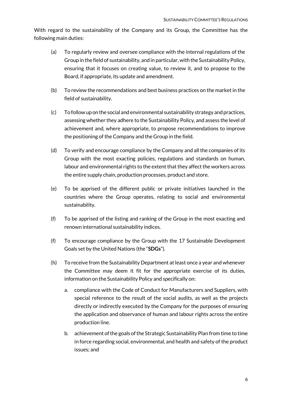With regard to the sustainability of the Company and its Group, the Committee has the following main duties:

- (a) To regularly review and oversee compliance with the internal regulations of the Group in the field of sustainability, and in particular, with the Sustainability Policy, ensuring that it focuses on creating value, to review it, and to propose to the Board, if appropriate, its update and amendment.
- (b) To review the recommendations and best business practices on the market in the field of sustainability.
- (c) To follow up on the social and environmental sustainability strategy and practices, assessing whether they adhere to the Sustainability Policy, and assess the level of achievement and, where appropriate, to propose recommendations to improve the positioning of the Company and the Group in the field.
- (d) To verify and encourage compliance by the Company and all the companies of its Group with the most exacting policies, regulations and standards on human, labour and environmental rights to the extent that they affect the workers across the entire supply chain, production processes, product and store.
- (e) To be apprised of the different public or private initiatives launched in the countries where the Group operates, relating to social and environmental sustainability.
- (f) To be apprised of the listing and ranking of the Group in the most exacting and renown international sustainability indices.
- (f) To encourage compliance by the Group with the 17 Sustainable Development Goals set by the United Nations (the "**SDGs**").
- (h) To receive from the Sustainability Department at least once a year and whenever the Committee may deem it fit for the appropriate exercise of its duties, information on the Sustainability Policy and specifically on:
	- a. compliance with the Code of Conduct for Manufacturers and Suppliers, with special reference to the result of the social audits, as well as the projects directly or indirectly executed by the Company for the purposes of ensuring the application and observance of human and labour rights across the entire production line.
	- b. achievement of the goals of the Strategic Sustainability Plan from time to time in force regarding social, environmental, and health and safety of the product issues; and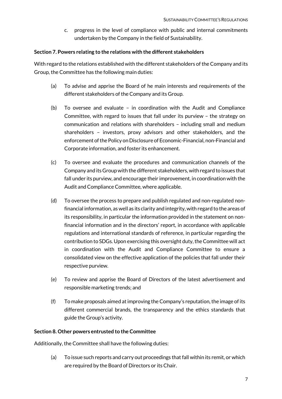c. progress in the level of compliance with public and internal commitments undertaken by the Company in the field of Sustainability.

#### <span id="page-6-0"></span>**Section 7. Powers relating to the relations with the different stakeholders**

With regard to the relations established with the different stakeholders of the Company and its Group, the Committee has the following main duties:

- (a) To advise and apprise the Board of he main interests and requirements of the different stakeholders of the Company and its Group.
- (b) To oversee and evaluate in coordination with the Audit and Compliance Committee, with regard to issues that fall under its purview – the strategy on communication and relations with shareholders – including small and medium shareholders – investors, proxy advisors and other stakeholders, and the enforcement of the Policy on Disclosure of Economic-Financial, non-Financial and Corporate information, and foster its enhancement.
- (c) To oversee and evaluate the procedures and communication channels of the Company and its Group with the different stakeholders, with regard to issues that fall under its purview, and encourage their improvement, in coordination with the Audit and Compliance Committee, where applicable.
- (d) To oversee the process to prepare and publish regulated and non-regulated nonfinancial information, as well as its clarity and integrity, with regard to the areas of its responsibility, in particular the information provided in the statement on nonfinancial information and in the directors' report, in accordance with applicable regulations and international standards of reference, in particular regarding the contribution to SDGs. Upon exercising this oversight duty, the Committee will act in coordination with the Audit and Compliance Committee to ensure a consolidated view on the effective application of the policies that fall under their respective purview.
- (e) To review and apprise the Board of Directors of the latest advertisement and responsible marketing trends; and
- (f) To make proposals aimed at improving the Company's reputation, the image of its different commercial brands, the transparency and the ethics standards that guide the Group's activity.

### <span id="page-6-1"></span>**Section 8. Other powers entrusted to the Committee**

Additionally, the Committee shall have the following duties:

(a) To issue such reports and carry out proceedings that fall within its remit, or which are required by the Board of Directors or its Chair.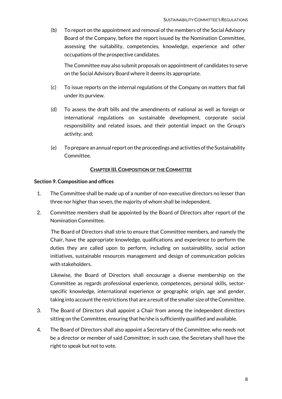(b) To report on the appointment and removal of the members of the Social Advisory Board of the Company, before the report issued by the Nomination Committee, assessing the suitability, competencies, knowledge, experience and other occupations of the prospective candidates.

The Committee may also submit proposals on appointment of candidates to serve on the Social Advisory Board where it deems its appropriate.

- (c) To issue reports on the internal regulations of the Company on matters that fall under its purview.
- (d) To assess the draft bills and the amendments of national as well as foreign or international regulations on sustainable development, corporate social responsibility and related issues, and their potential impact on the Group's activity; and;
- (e) To prepare an annual report on the proceedings and activities of the Sustainability Committee.

# **CHAPTER III.COMPOSITION OF THE COMMITTEE**

### <span id="page-7-1"></span><span id="page-7-0"></span>**Section 9. Composition and offices**

- 1. The Committee shall be made up of a number of non-executive directors no lesser than three nor higher than seven, the majority of whom shall be independent.
- 2. Committee members shall be appointed by the Board of Directors after report of the Nomination Committee.

The Board of Directors shall strie to ensure that Committee members, and namely the Chair, have the appropriate knowledge, qualifications and experience to perform the duties they are called upon to perform, including on sustainability, social action initiatives, sustainable resources management and design of communication policies with stakeholders.

Likewise, the Board of Directors shall encourage a diverse membership on the Committee as regards professional experience, competences, personal skills, sectorspecific knowledge, international experience or geographic origin, age and gender, taking into account the restrictions that are a result of the smaller size of the Committee.

- 3. The Board of Directors shall appoint a Chair from among the independent directors sitting on the Committee, ensuring that he/she is sufficiently qualified and available.
- 4. The Board of Directors shall also appoint a Secretary of the Committee, who needs not be a director or member of said Committee; in such case, the Secretary shall have the right to speak but not to vote.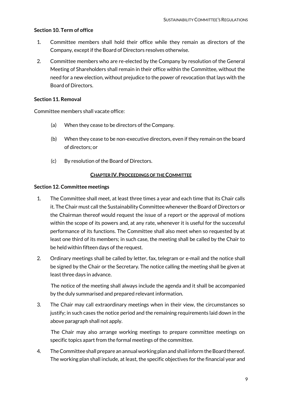# <span id="page-8-0"></span>**Section 10. Term of office**

- 1. Committee members shall hold their office while they remain as directors of the Company, except if the Board of Directors resolves otherwise.
- 2. Committee members who are re-elected by the Company by resolution of the General Meeting of Shareholders shall remain in their office within the Committee, without the need for a new election, without prejudice to the power of revocation that lays with the Board of Directors.

# <span id="page-8-1"></span>**Section 11. Removal**

Committee members shall vacate office:

- (a) When they cease to be directors of the Company.
- (b) When they cease to be non-executive directors, even if they remain on the board of directors; or
- (c) By resolution of the Board of Directors.

# **CHAPTER IV.PROCEEDINGS OF THE COMMITTEE**

### <span id="page-8-3"></span><span id="page-8-2"></span>**Section 12. Committee meetings**

- 1. The Committee shall meet, at least three times a year and each time that its Chair calls it. The Chair must call the Sustainability Committee whenever the Board of Directors or the Chairman thereof would request the issue of a report or the approval of motions within the scope of its powers and, at any rate, whenever it is useful for the successful performance of its functions. The Committee shall also meet when so requested by at least one third of its members; in such case, the meeting shall be called by the Chair to be held within fifteen days of the request.
- 2. Ordinary meetings shall be called by letter, fax, telegram or e-mail and the notice shall be signed by the Chair or the Secretary. The notice calling the meeting shall be given at least three days in advance.

The notice of the meeting shall always include the agenda and it shall be accompanied by the duly summarised and prepared relevant information.

3. The Chair may call extraordinary meetings when in their view, the circumstances so justify; in such cases the notice period and the remaining requirements laid down in the above paragraph shall not apply.

The Chair may also arrange working meetings to prepare committee meetings on specific topics apart from the formal meetings of the committee.

4. The Committee shall prepare an annual working plan and shall inform the Board thereof. The working plan shall include, at least, the specific objectives for the financial year and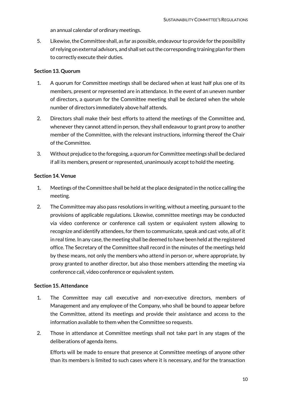an annual calendar of ordinary meetings.

5. Likewise, the Committee shall, as far as possible, endeavour to provide for the possibility of relying on external advisors, and shall set out the corresponding training plan for them to correctly execute their duties.

# <span id="page-9-0"></span>**Section 13. Quorum**

- 1. A quorum for Committee meetings shall be declared when at least half plus one of its members, present or represented are in attendance. In the event of an uneven number of directors, a quorum for the Committee meeting shall be declared when the whole number of directors immediately above half attends.
- 2. Directors shall make their best efforts to attend the meetings of the Committee and, whenever they cannot attend in person, they shall endeavour to grant proxy to another member of the Committee, with the relevant instructions, informing thereof the Chair of the Committee.
- 3. Without prejudice to the foregoing, a quorum for Committee meetings shall be declared if all its members, present or represented, unanimously accept to hold the meeting.

### <span id="page-9-1"></span>**Section 14. Venue**

- 1. Meetings of the Committee shall be held at the place designated in the notice calling the meeting.
- 2. The Committee may also pass resolutions in writing, without a meeting, pursuant to the provisions of applicable regulations. Likewise, committee meetings may be conducted via video conference or conference call system or equivalent system allowing to recognize and identify attendees, for them to communicate, speak and cast vote, all of it in real time. In any case, the meeting shall be deemed to have been held at the registered office. The Secretary of the Committee shall record in the minutes of the meetings held by these means, not only the members who attend in person or, where appropriate, by proxy granted to another director, but also those members attending the meeting via conference call, video conference or equivalent system.

### <span id="page-9-2"></span>**Section 15. Attendance**

- 1. The Committee may call executive and non-executive directors, members of Management and any employee of the Company, who shall be bound to appear before the Committee, attend its meetings and provide their assistance and access to the information available to them when the Committee so requests.
- 2. Those in attendance at Committee meetings shall not take part in any stages of the deliberations of agenda items.

Efforts will be made to ensure that presence at Committee meetings of anyone other than its members is limited to such cases where it is necessary, and for the transaction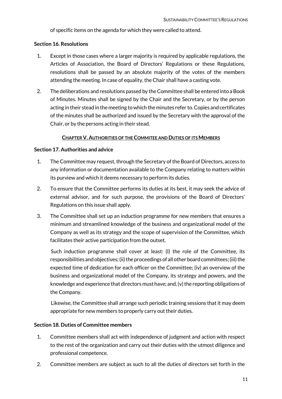of specific items on the agenda for which they were called to attend.

### <span id="page-10-0"></span>**Section 16. Resolutions**

- 1. Except in those cases where a larger majority is required by applicable regulations, the Articles of Association, the Board of Directors' Regulations or these Regulations, resolutions shall be passed by an absolute majority of the votes of the members attending the meeting. In case of equality, the Chair shall have a casting vote.
- 2. The deliberations and resolutions passed by the Committee shall be entered into a Book of Minutes. Minutes shall be signed by the Chair and the Secretary, or by the person acting in their stead in the meeting to which the minutes refer to. Copies and certificates of the minutes shall be authorized and issued by the Secretary with the approval of the Chair, or by the persons acting in their stead.

#### **CHAPTER V. AUTHORITIES OF THE COMMITEE AND DUTIES OF ITS MEMBERS**

### <span id="page-10-2"></span><span id="page-10-1"></span>**Section 17. Authorities and advice**

- 1. The Committee may request, through the Secretary of the Board of Directors, access to any information or documentation available to the Company relating to matters within its purview and which it deems necessary to perform its duties.
- 2. To ensure that the Committee performs its duties at its best, it may seek the advice of external advisor, and for such purpose, the provisions of the Board of Directors' Regulations on this issue shall apply.
- 3. The Committee shall set up an induction programme for new members that ensures a minimum and streamlined knowledge of the business and organizational model of the Company as well as its strategy and the scope of supervision of the Committee, which facilitates their active participation from the outset.

Such induction programme shall cover at least: (I) the role of the Committee, its responsibilities and objectives; (ii) the proceedings of all other board committees; (iii) the expected time of dedication for each officer on the Committee; (iv) an overview of the business and organizational model of the Company, its strategy and powers, and the knowledge and experience that directors must have; and, (v) the reporting obligations of the Company.

Likewise, the Committee shall arrange such periodic training sessions that it may deem appropriate for new members to properly carry out their duties.

### <span id="page-10-3"></span>**Section 18. Duties of Committee members**

- 1. Committee members shall act with independence of judgment and action with respect to the rest of the organization and carry out their duties with the utmost diligence and professional competence.
- 2. Committee members are subject as such to all the duties of directors set forth in the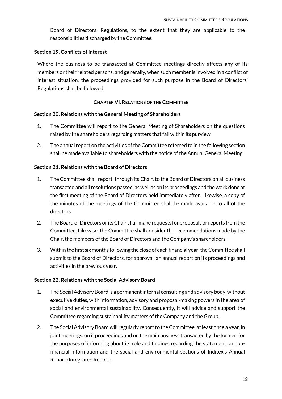Board of Directors' Regulations, to the extent that they are applicable to the responsibilities discharged by the Committee.

### <span id="page-11-0"></span>**Section 19. Conflicts of interest**

Where the business to be transacted at Committee meetings directly affects any of its members or their related persons, and generally, when such member is involved in a conflict of interest situation, the proceedings provided for such purpose in the Board of Directors' Regulations shall be followed.

#### **CHAPTER VI.RELATIONS OF THE COMMITTEE**

#### <span id="page-11-2"></span><span id="page-11-1"></span>**Section 20. Relations with the General Meeting of Shareholders**

- 1. The Committee will report to the General Meeting of Shareholders on the questions raised by the shareholders regarding matters that fall within its purview.
- 2. The annual report on the activities of the Committee referred to in the following section shall be made available to shareholders with the notice of the Annual General Meeting.

#### <span id="page-11-3"></span>**Section 21. Relations with the Board of Directors**

- 1. The Committee shall report, through its Chair, to the Board of Directors on all business transacted and all resolutions passed, as well as on its proceedings and the work done at the first meeting of the Board of Directors held immediately after. Likewise, a copy of the minutes of the meetings of the Committee shall be made available to all of the directors.
- 2. The Board of Directors or its Chair shall make requests for proposals or reports from the Committee. Likewise, the Committee shall consider the recommendations made by the Chair, the members of the Board of Directors and the Company's shareholders.
- 3. Within the first six months following the close of each financial year, the Committee shall submit to the Board of Directors, for approval, an annual report on its proceedings and activities in the previous year.

#### <span id="page-11-4"></span>**Section 22. Relations with the Social Advisory Board**

- 1. The Social Advisory Board is a permanent internal consulting and advisory body, without executive duties, with information, advisory and proposal-making powers in the area of social and environmental sustainability. Consequently, it will advice and support the Committee regarding sustainability matters of the Company and the Group.
- 2. The Social Advisory Board will regularly report to the Committee, at least once a year, in joint meetings, on it proceedings and on the main business transacted by the former, for the purposes of informing about its role and findings regarding the statement on nonfinancial information and the social and environmental sections of Inditex's Annual Report (Integrated Report).